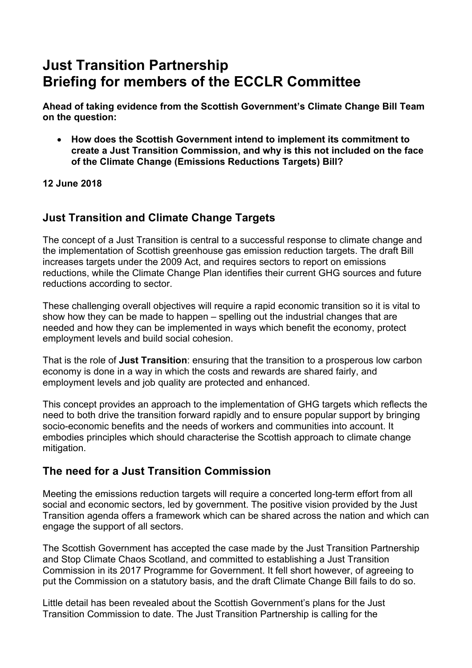## **Just Transition Partnership Briefing for members of the ECCLR Committee**

**Ahead of taking evidence from the Scottish Government's Climate Change Bill Team on the question:** 

• **How does the Scottish Government intend to implement its commitment to create a Just Transition Commission, and why is this not included on the face of the Climate Change (Emissions Reductions Targets) Bill?** 

#### **12 June 2018**

## **Just Transition and Climate Change Targets**

The concept of a Just Transition is central to a successful response to climate change and the implementation of Scottish greenhouse gas emission reduction targets. The draft Bill increases targets under the 2009 Act, and requires sectors to report on emissions reductions, while the Climate Change Plan identifies their current GHG sources and future reductions according to sector.

These challenging overall objectives will require a rapid economic transition so it is vital to show how they can be made to happen – spelling out the industrial changes that are needed and how they can be implemented in ways which benefit the economy, protect employment levels and build social cohesion.

That is the role of **Just Transition**: ensuring that the transition to a prosperous low carbon economy is done in a way in which the costs and rewards are shared fairly, and employment levels and job quality are protected and enhanced.

This concept provides an approach to the implementation of GHG targets which reflects the need to both drive the transition forward rapidly and to ensure popular support by bringing socio-economic benefits and the needs of workers and communities into account. It embodies principles which should characterise the Scottish approach to climate change mitigation.

## **The need for a Just Transition Commission**

Meeting the emissions reduction targets will require a concerted long-term effort from all social and economic sectors, led by government. The positive vision provided by the Just Transition agenda offers a framework which can be shared across the nation and which can engage the support of all sectors.

The Scottish Government has accepted the case made by the Just Transition Partnership and Stop Climate Chaos Scotland, and committed to establishing a Just Transition Commission in its 2017 Programme for Government. It fell short however, of agreeing to put the Commission on a statutory basis, and the draft Climate Change Bill fails to do so.

Little detail has been revealed about the Scottish Government's plans for the Just Transition Commission to date. The Just Transition Partnership is calling for the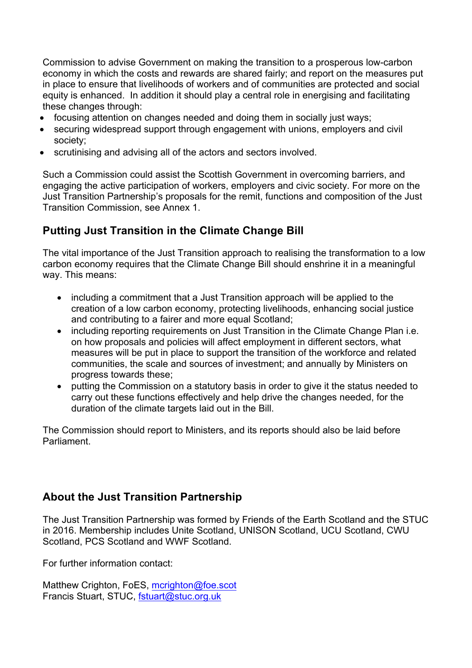Commission to advise Government on making the transition to a prosperous low-carbon economy in which the costs and rewards are shared fairly; and report on the measures put in place to ensure that livelihoods of workers and of communities are protected and social equity is enhanced. In addition it should play a central role in energising and facilitating these changes through:

- focusing attention on changes needed and doing them in socially just ways;
- securing widespread support through engagement with unions, employers and civil society;
- scrutinising and advising all of the actors and sectors involved.

Such a Commission could assist the Scottish Government in overcoming barriers, and engaging the active participation of workers, employers and civic society. For more on the Just Transition Partnership's proposals for the remit, functions and composition of the Just Transition Commission, see Annex 1.

## **Putting Just Transition in the Climate Change Bill**

The vital importance of the Just Transition approach to realising the transformation to a low carbon economy requires that the Climate Change Bill should enshrine it in a meaningful way. This means:

- including a commitment that a Just Transition approach will be applied to the creation of a low carbon economy, protecting livelihoods, enhancing social justice and contributing to a fairer and more equal Scotland;
- including reporting requirements on Just Transition in the Climate Change Plan i.e. on how proposals and policies will affect employment in different sectors, what measures will be put in place to support the transition of the workforce and related communities, the scale and sources of investment; and annually by Ministers on progress towards these;
- putting the Commission on a statutory basis in order to give it the status needed to carry out these functions effectively and help drive the changes needed, for the duration of the climate targets laid out in the Bill.

The Commission should report to Ministers, and its reports should also be laid before Parliament.

## **About the Just Transition Partnership**

The Just Transition Partnership was formed by Friends of the Earth Scotland and the STUC in 2016. Membership includes Unite Scotland, UNISON Scotland, UCU Scotland, CWU Scotland, PCS Scotland and WWF Scotland.

For further information contact:

Matthew Crighton, FoES, mcrighton@foe.scot Francis Stuart, STUC, fstuart@stuc.org.uk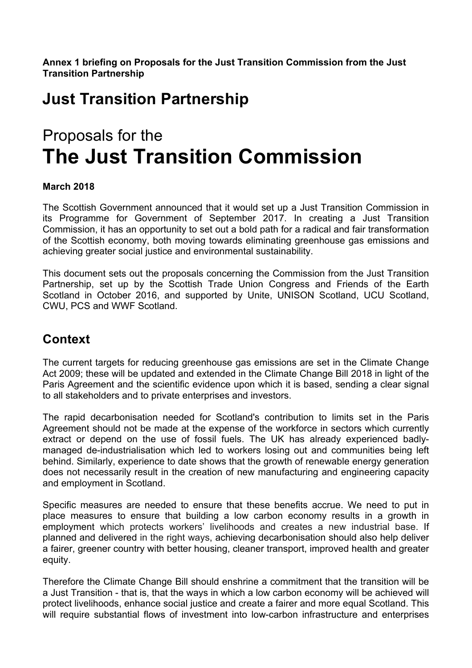**Annex 1 briefing on Proposals for the Just Transition Commission from the Just Transition Partnership** 

# **Just Transition Partnership**

# Proposals for the **The Just Transition Commission**

#### **March 2018**

The Scottish Government announced that it would set up a Just Transition Commission in its Programme for Government of September 2017. In creating a Just Transition Commission, it has an opportunity to set out a bold path for a radical and fair transformation of the Scottish economy, both moving towards eliminating greenhouse gas emissions and achieving greater social justice and environmental sustainability.

This document sets out the proposals concerning the Commission from the Just Transition Partnership, set up by the Scottish Trade Union Congress and Friends of the Earth Scotland in October 2016, and supported by Unite, UNISON Scotland, UCU Scotland, CWU, PCS and WWF Scotland.

## **Context**

The current targets for reducing greenhouse gas emissions are set in the Climate Change Act 2009; these will be updated and extended in the Climate Change Bill 2018 in light of the Paris Agreement and the scientific evidence upon which it is based, sending a clear signal to all stakeholders and to private enterprises and investors.

The rapid decarbonisation needed for Scotland's contribution to limits set in the Paris Agreement should not be made at the expense of the workforce in sectors which currently extract or depend on the use of fossil fuels. The UK has already experienced badlymanaged de-industrialisation which led to workers losing out and communities being left behind. Similarly, experience to date shows that the growth of renewable energy generation does not necessarily result in the creation of new manufacturing and engineering capacity and employment in Scotland.

Specific measures are needed to ensure that these benefits accrue. We need to put in place measures to ensure that building a low carbon economy results in a growth in employment which protects workers' livelihoods and creates a new industrial base. If planned and delivered in the right ways, achieving decarbonisation should also help deliver a fairer, greener country with better housing, cleaner transport, improved health and greater equity.

Therefore the Climate Change Bill should enshrine a commitment that the transition will be a Just Transition - that is, that the ways in which a low carbon economy will be achieved will protect livelihoods, enhance social justice and create a fairer and more equal Scotland. This will require substantial flows of investment into low-carbon infrastructure and enterprises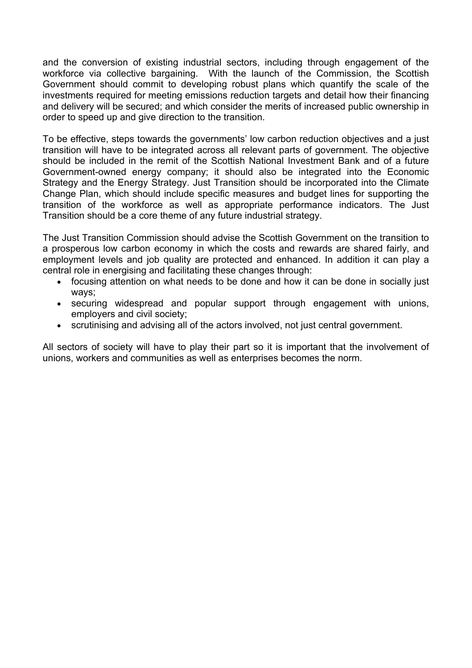and the conversion of existing industrial sectors, including through engagement of the workforce via collective bargaining. With the launch of the Commission, the Scottish Government should commit to developing robust plans which quantify the scale of the investments required for meeting emissions reduction targets and detail how their financing and delivery will be secured; and which consider the merits of increased public ownership in order to speed up and give direction to the transition.

To be effective, steps towards the governments' low carbon reduction objectives and a just transition will have to be integrated across all relevant parts of government. The objective should be included in the remit of the Scottish National Investment Bank and of a future Government-owned energy company; it should also be integrated into the Economic Strategy and the Energy Strategy. Just Transition should be incorporated into the Climate Change Plan, which should include specific measures and budget lines for supporting the transition of the workforce as well as appropriate performance indicators. The Just Transition should be a core theme of any future industrial strategy.

The Just Transition Commission should advise the Scottish Government on the transition to a prosperous low carbon economy in which the costs and rewards are shared fairly, and employment levels and job quality are protected and enhanced. In addition it can play a central role in energising and facilitating these changes through:

- focusing attention on what needs to be done and how it can be done in socially just ways;
- securing widespread and popular support through engagement with unions, employers and civil society;
- scrutinising and advising all of the actors involved, not just central government.

All sectors of society will have to play their part so it is important that the involvement of unions, workers and communities as well as enterprises becomes the norm.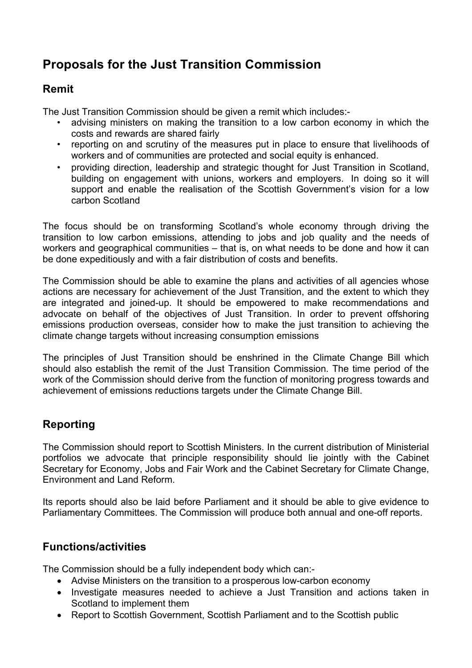## **Proposals for the Just Transition Commission**

## **Remit**

The Just Transition Commission should be given a remit which includes:-

- advising ministers on making the transition to a low carbon economy in which the costs and rewards are shared fairly
- reporting on and scrutiny of the measures put in place to ensure that livelihoods of workers and of communities are protected and social equity is enhanced.
- providing direction, leadership and strategic thought for Just Transition in Scotland, building on engagement with unions, workers and employers. In doing so it will support and enable the realisation of the Scottish Government's vision for a low carbon Scotland

The focus should be on transforming Scotland's whole economy through driving the transition to low carbon emissions, attending to jobs and job quality and the needs of workers and geographical communities – that is, on what needs to be done and how it can be done expeditiously and with a fair distribution of costs and benefits.

The Commission should be able to examine the plans and activities of all agencies whose actions are necessary for achievement of the Just Transition, and the extent to which they are integrated and joined-up. It should be empowered to make recommendations and advocate on behalf of the objectives of Just Transition. In order to prevent offshoring emissions production overseas, consider how to make the just transition to achieving the climate change targets without increasing consumption emissions

The principles of Just Transition should be enshrined in the Climate Change Bill which should also establish the remit of the Just Transition Commission. The time period of the work of the Commission should derive from the function of monitoring progress towards and achievement of emissions reductions targets under the Climate Change Bill.

## **Reporting**

The Commission should report to Scottish Ministers. In the current distribution of Ministerial portfolios we advocate that principle responsibility should lie jointly with the Cabinet Secretary for Economy, Jobs and Fair Work and the Cabinet Secretary for Climate Change, Environment and Land Reform.

Its reports should also be laid before Parliament and it should be able to give evidence to Parliamentary Committees. The Commission will produce both annual and one-off reports.

## **Functions/activities**

The Commission should be a fully independent body which can:-

- Advise Ministers on the transition to a prosperous low-carbon economy
- Investigate measures needed to achieve a Just Transition and actions taken in Scotland to implement them
- Report to Scottish Government, Scottish Parliament and to the Scottish public